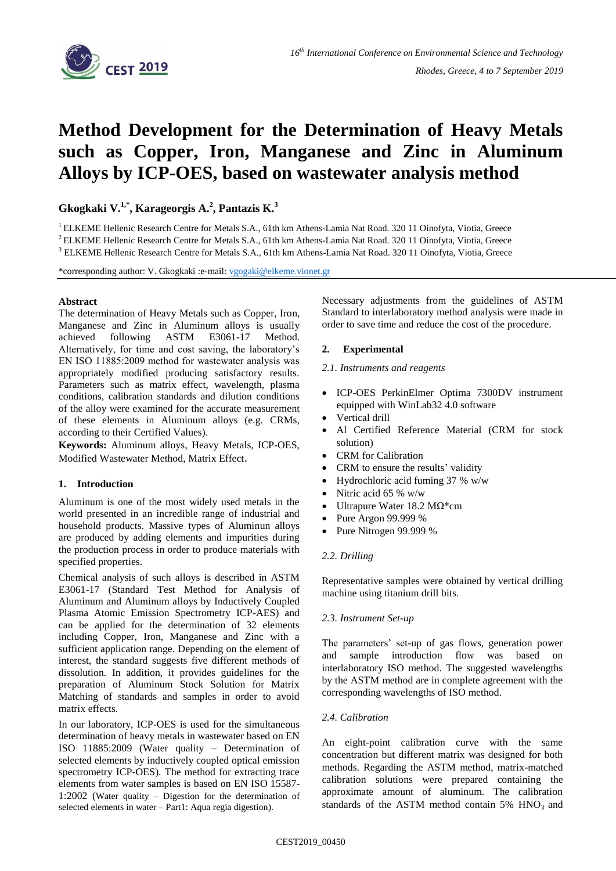

# **Method Development for the Determination of Heavy Metals such as Copper, Iron, Manganese and Zinc in Aluminum Alloys by ICP-OES, based on wastewater analysis method**

**Gkogkaki V.1,\* , Karageorgis A. 2 , Pantazis K. 3**

<sup>1</sup> ELKEME Hellenic Research Centre for Metals S.A., 61th km Athens-Lamia Nat Road. 320 11 Oinofyta, Viotia, Greece

<sup>2</sup> ELKEME Hellenic Research Centre for Metals S.A., 61th km Athens-Lamia Nat Road. 320 11 Oinofyta, Viotia, Greece

<sup>3</sup> ELKEME Hellenic Research Centre for Metals S.A., 61th km Athens-Lamia Nat Road. 320 11 Oinofyta, Viotia, Greece

\*corresponding author: V. Gkogkaki :e-mail: [vgogaki@elkeme.vionet.gr](mailto:vgogaki@elkeme.vionet.gr)

## **Abstract**

The determination of Heavy Metals such as Copper, Iron, Manganese and Zinc in Aluminum alloys is usually achieved following ASTM E3061-17 Method. Alternatively, for time and cost saving, the laboratory's ΕΝ ISO 11885:2009 method for wastewater analysis was appropriately modified producing satisfactory results. Parameters such as matrix effect, wavelength, plasma conditions, calibration standards and dilution conditions of the alloy were examined for the accurate measurement of these elements in Aluminum alloys (e.g. CRMs, according to their Certified Values).

**Keywords:** Aluminum alloys, Heavy Metals, ICP-OES, Modified Wastewater Method, Matrix Effect.

## **1. Introduction**

Aluminum is one of the most widely used metals in the world presented in an incredible range of industrial and household products. Massive types of Aluminun alloys are produced by adding elements and impurities during the production process in order to produce materials with specified properties.

Chemical analysis of such alloys is described in ASTM E3061-17 (Standard Test Method for Analysis of Aluminum and Aluminum alloys by Inductively Coupled Plasma Atomic Emission Spectrometry ICP-AES) and can be applied for the determination of 32 elements including Copper, Iron, Manganese and Zinc with a sufficient application range. Depending on the element of interest, the standard suggests five different methods of dissolution. In addition, it provides guidelines for the preparation of Aluminum Stock Solution for Matrix Matching of standards and samples in order to avoid matrix effects.

In our laboratory, ICP-OES is used for the simultaneous determination of heavy metals in wastewater based on EN ISO 11885:2009 (Water quality – Determination of selected elements by inductively coupled optical emission spectrometry ICP-OES). The method for extracting trace elements from water samples is based on EN ISO 15587- 1:2002 (Water quality – Digestion for the determination of selected elements in water – Part1: Aqua regia digestion).

Necessary adjustments from the guidelines of ASTM Standard to interlaboratory method analysis were made in order to save time and reduce the cost of the procedure.

## **2. Experimental**

#### *2.1. Instruments and reagents*

- ICP-OES PerkinElmer Optima 7300DV instrument equipped with WinLab32 4.0 software
- Vertical drill
- Al Certified Reference Material (CRM for stock solution)
- CRM for Calibration
- CRM to ensure the results' validity
- Hydrochloric acid fuming 37 % w/w
- Nitric acid 65 % w/w
- Ultrapure Water 18.2 ΜΩ\*cm
- Pure Argon 99.999 %
- Pure Nitrogen 99.999 %

## *2.2. Drilling*

Representative samples were obtained by vertical drilling machine using titanium drill bits.

## *2.3. Instrument Set-up*

The parameters' set-up of gas flows, generation power and sample introduction flow was based on interlaboratory ISO method. The suggested wavelengths by the ASTM method are in complete agreement with the corresponding wavelengths of ISO method.

## *2.4. Calibration*

An eight-point calibration curve with the same concentration but different matrix was designed for both methods. Regarding the ASTM method, matrix-matched calibration solutions were prepared containing the approximate amount of aluminum. The calibration standards of the ASTM method contain  $5\%$  HNO<sub>3</sub> and